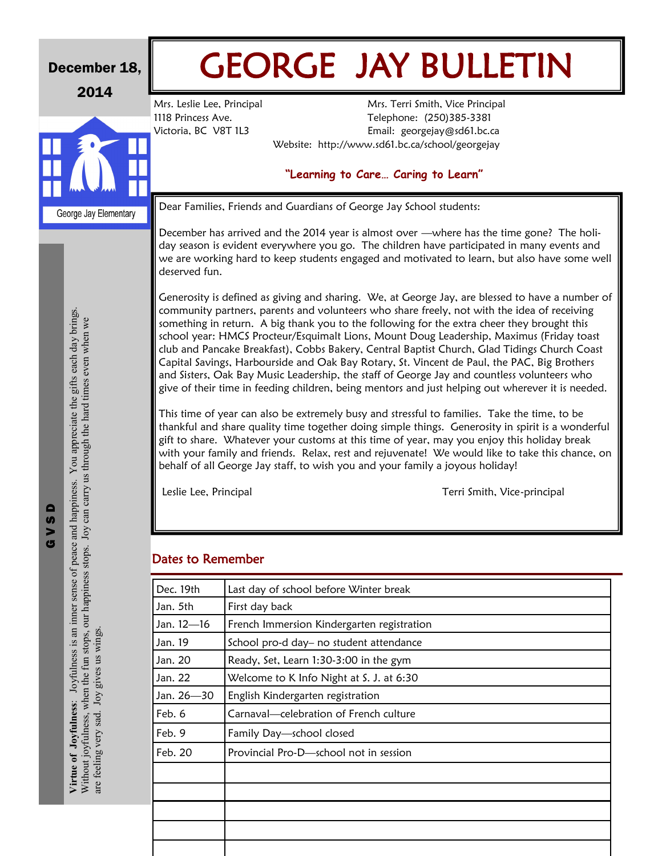| December 18,<br>2014 |                                                                                                                                                                                                                                        | <b>GEORGE JAY BULLETIN</b>                                                                                                                                                                                                                                                                               |                                                                                                                                                                                                                                                                                                                                                                                                                                                                                                                                                                                                                                                                                                                                                                                                                                                                                                                                                                                                                                                                                                                                                                                                                                                                                                                     |  |  |  |
|----------------------|----------------------------------------------------------------------------------------------------------------------------------------------------------------------------------------------------------------------------------------|----------------------------------------------------------------------------------------------------------------------------------------------------------------------------------------------------------------------------------------------------------------------------------------------------------|---------------------------------------------------------------------------------------------------------------------------------------------------------------------------------------------------------------------------------------------------------------------------------------------------------------------------------------------------------------------------------------------------------------------------------------------------------------------------------------------------------------------------------------------------------------------------------------------------------------------------------------------------------------------------------------------------------------------------------------------------------------------------------------------------------------------------------------------------------------------------------------------------------------------------------------------------------------------------------------------------------------------------------------------------------------------------------------------------------------------------------------------------------------------------------------------------------------------------------------------------------------------------------------------------------------------|--|--|--|
|                      |                                                                                                                                                                                                                                        | Mrs. Leslie Lee, Principal<br>1118 Princess Ave.<br>Victoria, BC V8T 1L3                                                                                                                                                                                                                                 | Mrs. Terri Smith, Vice Principal<br>Telephone: (250)385-3381<br>Email: georgejay@sd61.bc.ca                                                                                                                                                                                                                                                                                                                                                                                                                                                                                                                                                                                                                                                                                                                                                                                                                                                                                                                                                                                                                                                                                                                                                                                                                         |  |  |  |
|                      |                                                                                                                                                                                                                                        |                                                                                                                                                                                                                                                                                                          | Website: http://www.sd61.bc.ca/school/georgejay                                                                                                                                                                                                                                                                                                                                                                                                                                                                                                                                                                                                                                                                                                                                                                                                                                                                                                                                                                                                                                                                                                                                                                                                                                                                     |  |  |  |
|                      |                                                                                                                                                                                                                                        | "Learning to Care Caring to Learn"                                                                                                                                                                                                                                                                       |                                                                                                                                                                                                                                                                                                                                                                                                                                                                                                                                                                                                                                                                                                                                                                                                                                                                                                                                                                                                                                                                                                                                                                                                                                                                                                                     |  |  |  |
|                      | George Jay Elementary                                                                                                                                                                                                                  | Dear Families, Friends and Guardians of George Jay School students:                                                                                                                                                                                                                                      |                                                                                                                                                                                                                                                                                                                                                                                                                                                                                                                                                                                                                                                                                                                                                                                                                                                                                                                                                                                                                                                                                                                                                                                                                                                                                                                     |  |  |  |
|                      |                                                                                                                                                                                                                                        | December has arrived and the 2014 year is almost over —where has the time gone? The holi-<br>day season is evident everywhere you go. The children have participated in many events and<br>we are working hard to keep students engaged and motivated to learn, but also have some well<br>deserved fun. |                                                                                                                                                                                                                                                                                                                                                                                                                                                                                                                                                                                                                                                                                                                                                                                                                                                                                                                                                                                                                                                                                                                                                                                                                                                                                                                     |  |  |  |
|                      | You appreciate the gifts each day brings.<br>can carry us through the hard times even when we<br>d happiness.<br>$\geq$<br>Joyfulness is an inner sense of peace an<br>Without joyfulness, when the fun stops, our happiness stops. Jo | Leslie Lee, Principal                                                                                                                                                                                                                                                                                    | Generosity is defined as giving and sharing. We, at George Jay, are blessed to have a number of<br>community partners, parents and volunteers who share freely, not with the idea of receiving<br>something in return. A big thank you to the following for the extra cheer they brought this<br>school year: HMCS Procteur/Esquimalt Lions, Mount Doug Leadership, Maximus (Friday toast<br>club and Pancake Breakfast), Cobbs Bakery, Central Baptist Church, Glad Tidings Church Coast<br>Capital Savings, Harbourside and Oak Bay Rotary, St. Vincent de Paul, the PAC, Big Brothers<br>and Sisters, Oak Bay Music Leadership, the staff of George Jay and countless volunteers who<br>give of their time in feeding children, being mentors and just helping out wherever it is needed.<br>This time of year can also be extremely busy and stressful to families. Take the time, to be<br>thankful and share quality time together doing simple things. Generosity in spirit is a wonderful<br>gift to share. Whatever your customs at this time of year, may you enjoy this holiday break<br>with your family and friends. Relax, rest and rejuvenate! We would like to take this chance, on<br>behalf of all George Jay staff, to wish you and your family a joyous holiday!<br>Terri Smith, Vice-principal |  |  |  |
|                      |                                                                                                                                                                                                                                        | <b>Dates to Remember</b><br>Dec. 19th<br>Jan. 5th<br>Jan. 12-16                                                                                                                                                                                                                                          | Last day of school before Winter break<br>First day back<br>French Immersion Kindergarten registration                                                                                                                                                                                                                                                                                                                                                                                                                                                                                                                                                                                                                                                                                                                                                                                                                                                                                                                                                                                                                                                                                                                                                                                                              |  |  |  |
|                      |                                                                                                                                                                                                                                        | Jan. 19                                                                                                                                                                                                                                                                                                  | School pro-d day- no student attendance                                                                                                                                                                                                                                                                                                                                                                                                                                                                                                                                                                                                                                                                                                                                                                                                                                                                                                                                                                                                                                                                                                                                                                                                                                                                             |  |  |  |
|                      | Joy gives us wings.                                                                                                                                                                                                                    | Jan. 20                                                                                                                                                                                                                                                                                                  | Ready, Set, Learn 1:30-3:00 in the gym                                                                                                                                                                                                                                                                                                                                                                                                                                                                                                                                                                                                                                                                                                                                                                                                                                                                                                                                                                                                                                                                                                                                                                                                                                                                              |  |  |  |
|                      |                                                                                                                                                                                                                                        | Jan. 22                                                                                                                                                                                                                                                                                                  | Welcome to K Info Night at S. J. at 6:30                                                                                                                                                                                                                                                                                                                                                                                                                                                                                                                                                                                                                                                                                                                                                                                                                                                                                                                                                                                                                                                                                                                                                                                                                                                                            |  |  |  |
|                      |                                                                                                                                                                                                                                        | Jan. 26-30                                                                                                                                                                                                                                                                                               | English Kindergarten registration                                                                                                                                                                                                                                                                                                                                                                                                                                                                                                                                                                                                                                                                                                                                                                                                                                                                                                                                                                                                                                                                                                                                                                                                                                                                                   |  |  |  |
|                      |                                                                                                                                                                                                                                        | Feb. 6                                                                                                                                                                                                                                                                                                   | Carnaval-celebration of French culture                                                                                                                                                                                                                                                                                                                                                                                                                                                                                                                                                                                                                                                                                                                                                                                                                                                                                                                                                                                                                                                                                                                                                                                                                                                                              |  |  |  |
|                      |                                                                                                                                                                                                                                        | Feb. 9                                                                                                                                                                                                                                                                                                   | Family Day-school closed                                                                                                                                                                                                                                                                                                                                                                                                                                                                                                                                                                                                                                                                                                                                                                                                                                                                                                                                                                                                                                                                                                                                                                                                                                                                                            |  |  |  |
|                      |                                                                                                                                                                                                                                        | Feb. 20                                                                                                                                                                                                                                                                                                  | Provincial Pro-D-school not in session                                                                                                                                                                                                                                                                                                                                                                                                                                                                                                                                                                                                                                                                                                                                                                                                                                                                                                                                                                                                                                                                                                                                                                                                                                                                              |  |  |  |
|                      | Virtue of Joyfulness:<br>are feeling very sad.                                                                                                                                                                                         |                                                                                                                                                                                                                                                                                                          |                                                                                                                                                                                                                                                                                                                                                                                                                                                                                                                                                                                                                                                                                                                                                                                                                                                                                                                                                                                                                                                                                                                                                                                                                                                                                                                     |  |  |  |
|                      |                                                                                                                                                                                                                                        |                                                                                                                                                                                                                                                                                                          |                                                                                                                                                                                                                                                                                                                                                                                                                                                                                                                                                                                                                                                                                                                                                                                                                                                                                                                                                                                                                                                                                                                                                                                                                                                                                                                     |  |  |  |
|                      |                                                                                                                                                                                                                                        |                                                                                                                                                                                                                                                                                                          |                                                                                                                                                                                                                                                                                                                                                                                                                                                                                                                                                                                                                                                                                                                                                                                                                                                                                                                                                                                                                                                                                                                                                                                                                                                                                                                     |  |  |  |
|                      |                                                                                                                                                                                                                                        |                                                                                                                                                                                                                                                                                                          |                                                                                                                                                                                                                                                                                                                                                                                                                                                                                                                                                                                                                                                                                                                                                                                                                                                                                                                                                                                                                                                                                                                                                                                                                                                                                                                     |  |  |  |
|                      |                                                                                                                                                                                                                                        |                                                                                                                                                                                                                                                                                                          |                                                                                                                                                                                                                                                                                                                                                                                                                                                                                                                                                                                                                                                                                                                                                                                                                                                                                                                                                                                                                                                                                                                                                                                                                                                                                                                     |  |  |  |

Г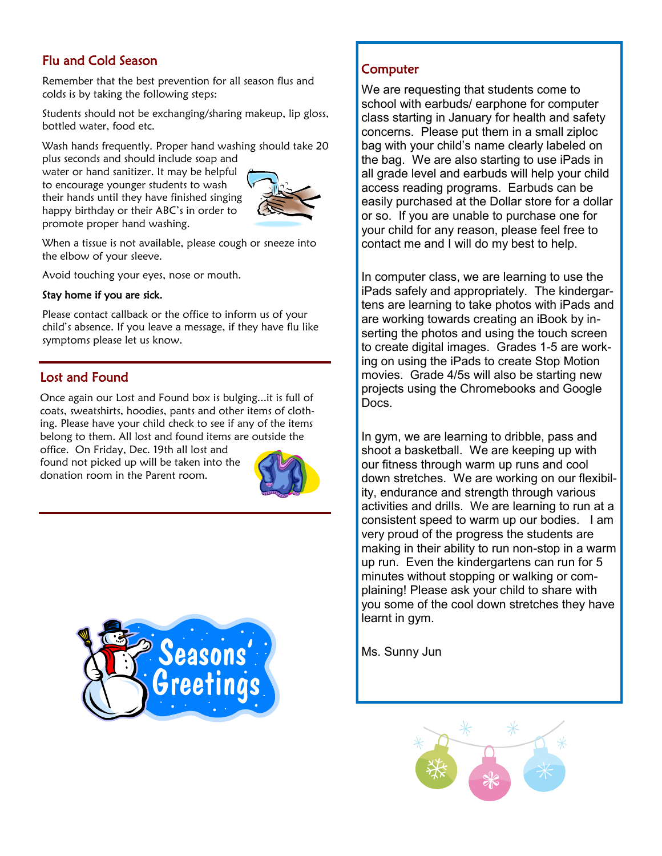# Flu and Cold Season

Remember that the best prevention for all season flus and colds is by taking the following steps:

Students should not be exchanging/sharing makeup, lip gloss, bottled water, food etc.

Wash hands frequently. Proper hand washing should take 20

plus seconds and should include soap and water or hand sanitizer. It may be helpful to encourage younger students to wash their hands until they have finished singing happy birthday or their ABC's in order to promote proper hand washing.



When a tissue is not available, please cough or sneeze into the elbow of your sleeve.

Avoid touching your eyes, nose or mouth.

### Stay home if you are sick.

Please contact callback or the office to inform us of your child's absence. If you leave a message, if they have flu like symptoms please let us know.

## Lost and Found

Once again our Lost and Found box is bulging...it is full of coats, sweatshirts, hoodies, pants and other items of clothing. Please have your child check to see if any of the items belong to them. All lost and found items are outside the

office. On Friday, Dec. 19th all lost and found not picked up will be taken into the donation room in the Parent room.





# **Computer**

We are requesting that students come to school with earbuds/ earphone for computer class starting in January for health and safety concerns. Please put them in a small ziploc bag with your child's name clearly labeled on the bag. We are also starting to use iPads in all grade level and earbuds will help your child access reading programs. Earbuds can be easily purchased at the Dollar store for a dollar or so. If you are unable to purchase one for your child for any reason, please feel free to contact me and I will do my best to help.

In computer class, we are learning to use the iPads safely and appropriately. The kindergartens are learning to take photos with iPads and are working towards creating an iBook by inserting the photos and using the touch screen to create digital images. Grades 1-5 are working on using the iPads to create Stop Motion movies. Grade 4/5s will also be starting new projects using the Chromebooks and Google Docs.

In gym, we are learning to dribble, pass and shoot a basketball. We are keeping up with our fitness through warm up runs and cool down stretches. We are working on our flexibility, endurance and strength through various activities and drills. We are learning to run at a consistent speed to warm up our bodies. I am very proud of the progress the students are making in their ability to run non-stop in a warm up run. Even the kindergartens can run for 5 minutes without stopping or walking or complaining! Please ask your child to share with you some of the cool down stretches they have learnt in gym.

Ms. Sunny Jun

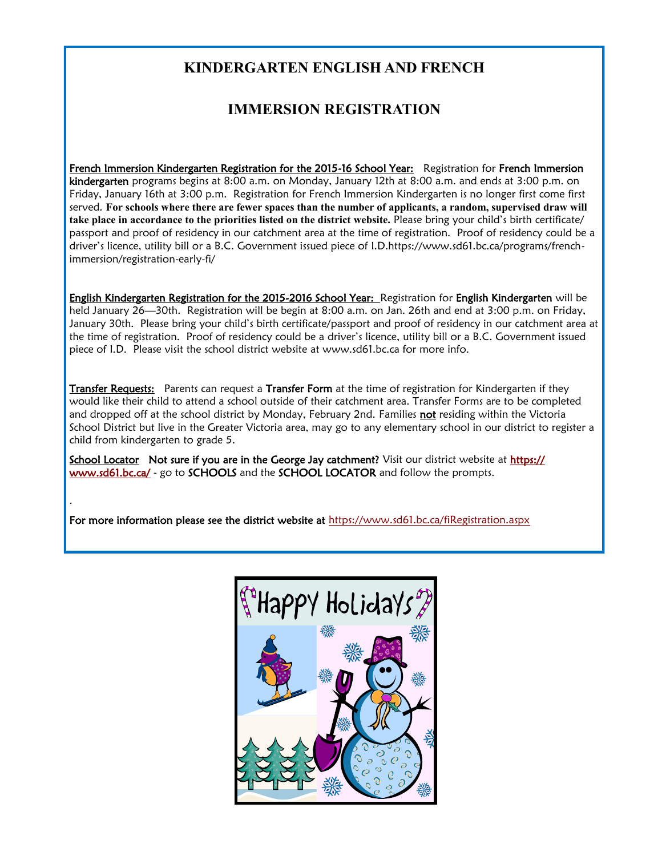# **KINDERGARTEN ENGLISH AND FRENCH**

# **IMMERSION REGISTRATION**

French Immersion Kindergarten Registration for the 2015-16 School Year: Registration for French Immersion kindergarten programs begins at 8:00 a.m. on Monday, January 12th at 8:00 a.m. and ends at 3:00 p.m. on Friday, January 16th at 3:00 p.m. Registration for French Immersion Kindergarten is no longer first come first served. **For schools where there are fewer spaces than the number of applicants, a random, supervised draw will take place in accordance to the priorities listed on the district website.** Please bring your child's birth certificate/ passport and proof of residency in our catchment area at the time of registration. Proof of residency could be a driver's licence, utility bill or a B.C. Government issued piece of I.D.https://www.sd61.bc.ca/programs/frenchimmersion/registration-early-fi/

English Kindergarten Registration for the 2015-2016 School Year: Registration for English Kindergarten will be held January 26—30th. Registration will be begin at 8:00 a.m. on Jan. 26th and end at 3:00 p.m. on Friday, January 30th. Please bring your child's birth certificate/passport and proof of residency in our catchment area at the time of registration. Proof of residency could be a driver's licence, utility bill or a B.C. Government issued piece of I.D. Please visit the school district website at www.sd61.bc.ca for more info.

Transfer Requests: Parents can request a Transfer Form at the time of registration for Kindergarten if they would like their child to attend a school outside of their catchment area. Transfer Forms are to be completed and dropped off at the school district by Monday, February 2nd. Families not residing within the Victoria School District but live in the Greater Victoria area, may go to any elementary school in our district to register a child from kindergarten to grade 5.

School Locator Not sure if you are in the George Jay catchment? Visit our district website at [https://](https://www.sd61.bc.ca/) [www.sd61.bc.ca/](https://www.sd61.bc.ca/) - go to SCHOOLS and the SCHOOL LOCATOR and follow the prompts.

For more information please see the district website at<https://www.sd61.bc.ca/fiRegistration.aspx>

.

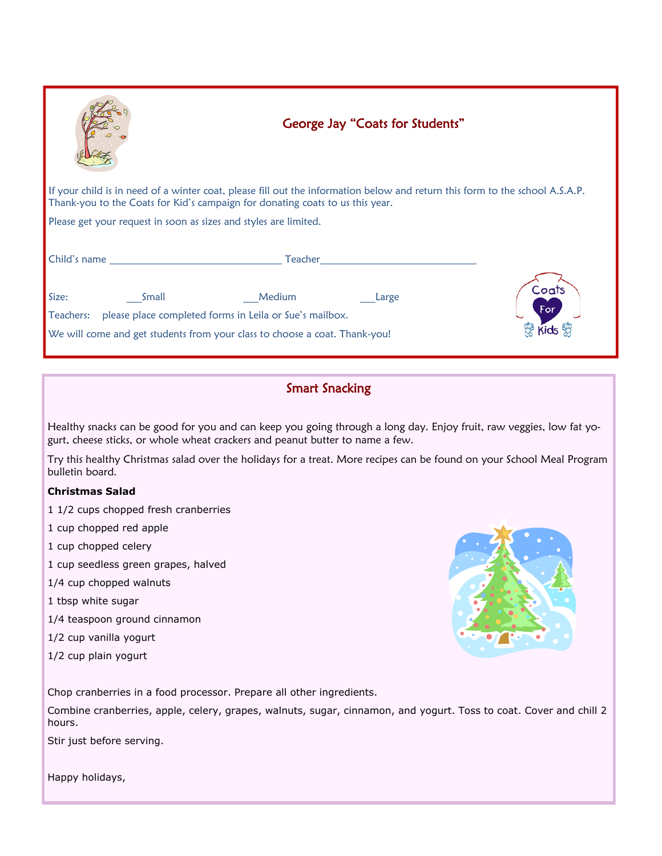|                                                                                                                                                                                                                                     | George Jay "Coats for Students" |  |  |  |  |  |  |
|-------------------------------------------------------------------------------------------------------------------------------------------------------------------------------------------------------------------------------------|---------------------------------|--|--|--|--|--|--|
| If your child is in need of a winter coat, please fill out the information below and return this form to the school A.S.A.P.<br>Thank-you to the Coats for Kid's campaign for donating coats to us this year.                       |                                 |  |  |  |  |  |  |
| Please get your request in soon as sizes and styles are limited.                                                                                                                                                                    |                                 |  |  |  |  |  |  |
| <b>Child's name</b> and the contract of the contract of the contract of the contract of the contract of the contract of the contract of the contract of the contract of the contract of the contract of the contract of the contrac | Teacher                         |  |  |  |  |  |  |
| Size:<br>Medium<br>Small<br>please place completed forms in Leila or Sue's mailbox.<br>Teachers:<br>We will come and get students from your class to choose a coat. Thank-you!                                                      | Coats<br>Large<br>For           |  |  |  |  |  |  |

# Smart Snacking

Healthy snacks can be good for you and can keep you going through a long day. Enjoy fruit, raw veggies, low fat yogurt, cheese sticks, or whole wheat crackers and peanut butter to name a few.

Try this healthy Christmas salad over the holidays for a treat. More recipes can be found on your School Meal Program bulletin board.

### **Christmas Salad**

1 1/2 cups chopped fresh cranberries

1 cup chopped red apple

1 cup chopped celery

1 cup seedless green grapes, halved

1/4 cup chopped walnuts

1 tbsp white sugar

1/4 teaspoon ground cinnamon

1/2 cup vanilla yogurt

1/2 cup plain yogurt



Chop cranberries in a food processor. Prepare all other ingredients.

Combine cranberries, apple, celery, grapes, walnuts, sugar, cinnamon, and yogurt. Toss to coat. Cover and chill 2 hours.

Stir just before serving.

Happy holidays,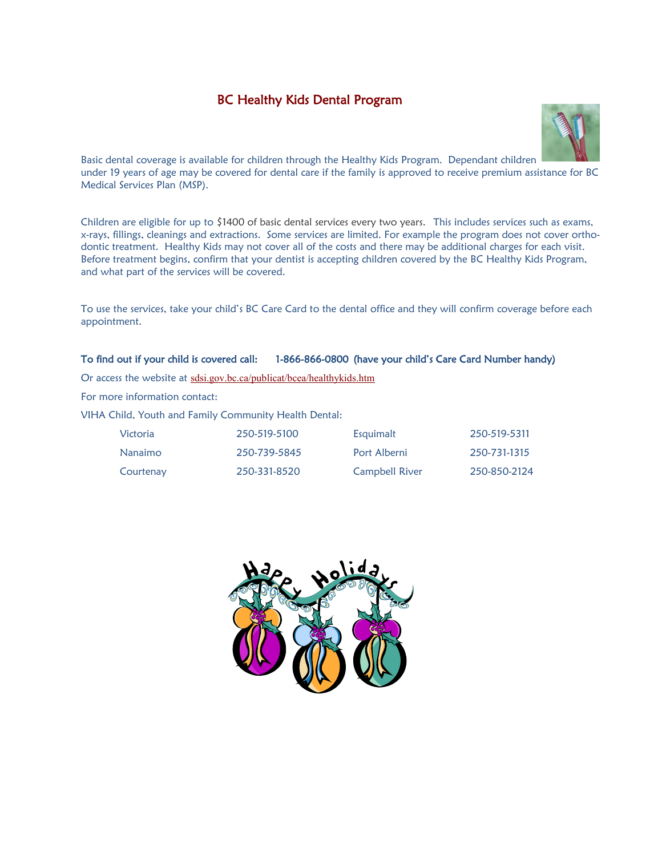# BC Healthy Kids Dental Program



Basic dental coverage is available for children through the Healthy Kids Program. Dependant children under 19 years of age may be covered for dental care if the family is approved to receive premium assistance for BC Medical Services Plan (MSP).

Children are eligible for up to \$1400 of basic dental services every two years. This includes services such as exams, x-rays, fillings, cleanings and extractions. Some services are limited. For example the program does not cover orthodontic treatment. Healthy Kids may not cover all of the costs and there may be additional charges for each visit. Before treatment begins, confirm that your dentist is accepting children covered by the BC Healthy Kids Program, and what part of the services will be covered.

To use the services, take your child's BC Care Card to the dental office and they will confirm coverage before each appointment.

#### To find out if your child is covered call: 1-866-866-0800 (have your child's Care Card Number handy)

Or access the website at [sdsi.gov.bc.ca/publicat/bcea/healthykids.htm](http://www.sd.gov.bc.ca/factsheets/2005/healthy_kids.htm)

For more information contact:

VIHA Child, Youth and Family Community Health Dental:

| Victoria  | 250-519-5100 | Esquimalt             | 250-519-5311 |
|-----------|--------------|-----------------------|--------------|
| Nanaimo   | 250-739-5845 | Port Alberni          | 250-731-1315 |
| Courtenay | 250-331-8520 | <b>Campbell River</b> | 250-850-2124 |

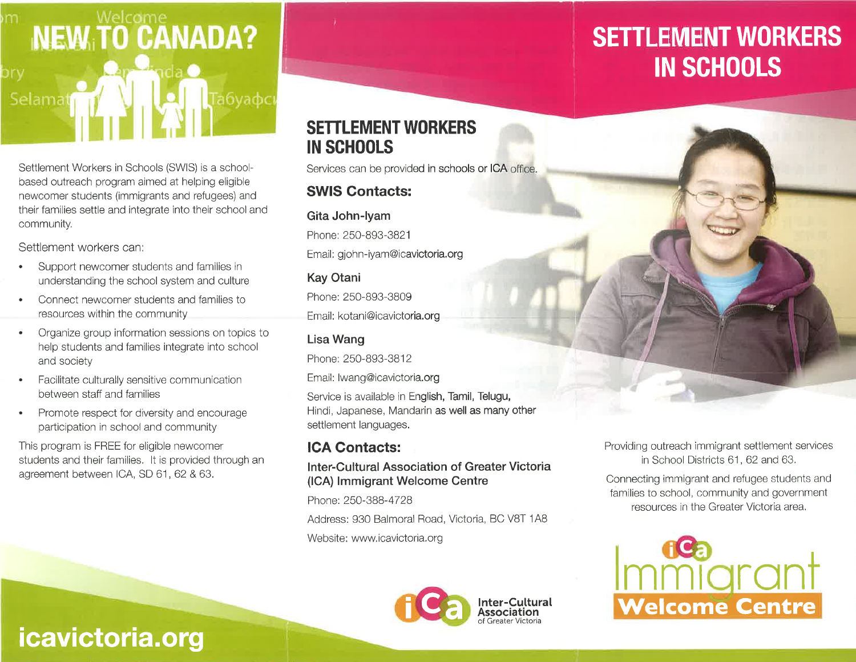

Settlement Workers in Schools (SWIS) is a schoolbased outreach program aimed at helping eligible newcomer students (immigrants and refugees) and their families settle and integrate into their school and community.

Settlement workers can:

- Support newcomer students and families in understanding the school system and culture
- Connect newcomer students and families to resources within the community
- Organize group information sessions on topics to  $\bullet$ help students and families integrate into school and society
- Facilitate culturally sensitive communication between staff and families
- Promote respect for diversity and encourage  $\bullet$ participation in school and community

This program is FREE for eligible newcomer students and their families. It is provided through an agreement between ICA, SD 61, 62 & 63.

# **SETTLEMENT WORKERS IN SCHOOLS**

Services can be provided in schools or ICA office.

# **SWIS Contacts:**

## Gita John-Iyam

Phone: 250-893-3821 Email: gjohn-iyam@icavictoria.org

# **Kay Otani**

Phone: 250-893-3809 Email: kotani@icavictoria.org

# Lisa Wang

Phone: 250-893-3812

Email: Iwang@icavictoria.org

Service is available in English, Tamil, Telugu, Hindi, Japanese, Mandarin as well as many other settlement languages.

# **ICA Contacts:**

### **Inter-Cultural Association of Greater Victoria** (ICA) Immigrant Welcome Centre

Phone: 250-388-4728

Address: 930 Balmoral Road, Victoria, BC V8T 1A8 Website: www.icavictoria.org



# **SETTLEMENT WORKERS IN SCHOOLS**



Connecting immigrant and refugee students and families to school, community and government resources in the Greater Victoria area.



# icavictoria.org